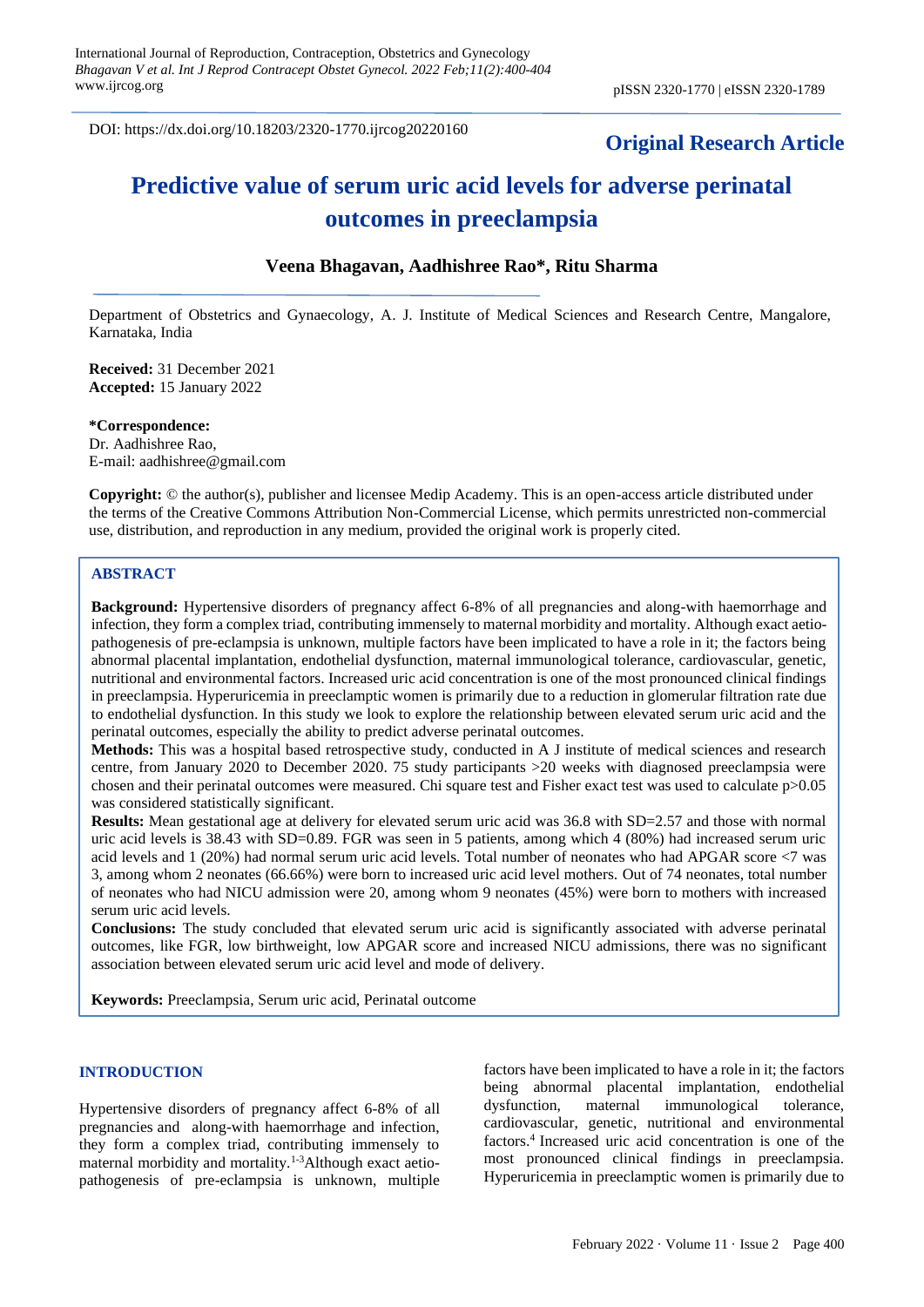DOI: https://dx.doi.org/10.18203/2320-1770.ijrcog20220160

# **Original Research Article**

# **Predictive value of serum uric acid levels for adverse perinatal outcomes in preeclampsia**

# **Veena Bhagavan, Aadhishree Rao\*, Ritu Sharma**

Department of Obstetrics and Gynaecology, A. J. Institute of Medical Sciences and Research Centre, Mangalore, Karnataka, India

**Received:** 31 December 2021 **Accepted:** 15 January 2022

**\*Correspondence:** Dr. Aadhishree Rao, E-mail: aadhishree@gmail.com

**Copyright:** © the author(s), publisher and licensee Medip Academy. This is an open-access article distributed under the terms of the Creative Commons Attribution Non-Commercial License, which permits unrestricted non-commercial use, distribution, and reproduction in any medium, provided the original work is properly cited.

# **ABSTRACT**

**Background:** Hypertensive disorders of pregnancy affect 6-8% of all pregnancies and along-with haemorrhage and infection, they form a complex triad, contributing immensely to maternal morbidity and mortality. Although exact aetiopathogenesis of pre-eclampsia is unknown, multiple factors have been implicated to have a role in it; the factors being abnormal placental implantation, endothelial dysfunction, maternal immunological tolerance, cardiovascular, genetic, nutritional and environmental factors. Increased uric acid concentration is one of the most pronounced clinical findings in preeclampsia. Hyperuricemia in preeclamptic women is primarily due to a reduction in glomerular filtration rate due to endothelial dysfunction. In this study we look to explore the relationship between elevated serum uric acid and the perinatal outcomes, especially the ability to predict adverse perinatal outcomes.

**Methods:** This was a hospital based retrospective study, conducted in A J institute of medical sciences and research centre, from January 2020 to December 2020. 75 study participants >20 weeks with diagnosed preeclampsia were chosen and their perinatal outcomes were measured. Chi square test and Fisher exact test was used to calculate p>0.05 was considered statistically significant.

**Results:** Mean gestational age at delivery for elevated serum uric acid was 36.8 with SD=2.57 and those with normal uric acid levels is 38.43 with SD=0.89. FGR was seen in 5 patients, among which 4 (80%) had increased serum uric acid levels and 1 (20%) had normal serum uric acid levels. Total number of neonates who had APGAR score <7 was 3, among whom 2 neonates (66.66%) were born to increased uric acid level mothers. Out of 74 neonates, total number of neonates who had NICU admission were 20, among whom 9 neonates (45%) were born to mothers with increased serum uric acid levels.

**Conclusions:** The study concluded that elevated serum uric acid is significantly associated with adverse perinatal outcomes, like FGR, low birthweight, low APGAR score and increased NICU admissions, there was no significant association between elevated serum uric acid level and mode of delivery.

**Keywords:** Preeclampsia, Serum uric acid, Perinatal outcome

#### **INTRODUCTION**

Hypertensive disorders of pregnancy affect 6-8% of all pregnancies and along-with haemorrhage and infection, they form a complex triad, contributing immensely to maternal morbidity and mortality.1-3Although exact aetiopathogenesis of pre-eclampsia is unknown, multiple factors have been implicated to have a role in it; the factors being abnormal placental implantation, endothelial dysfunction, maternal immunological tolerance, cardiovascular, genetic, nutritional and environmental factors.<sup>4</sup> Increased uric acid concentration is one of the most pronounced clinical findings in preeclampsia. Hyperuricemia in preeclamptic women is primarily due to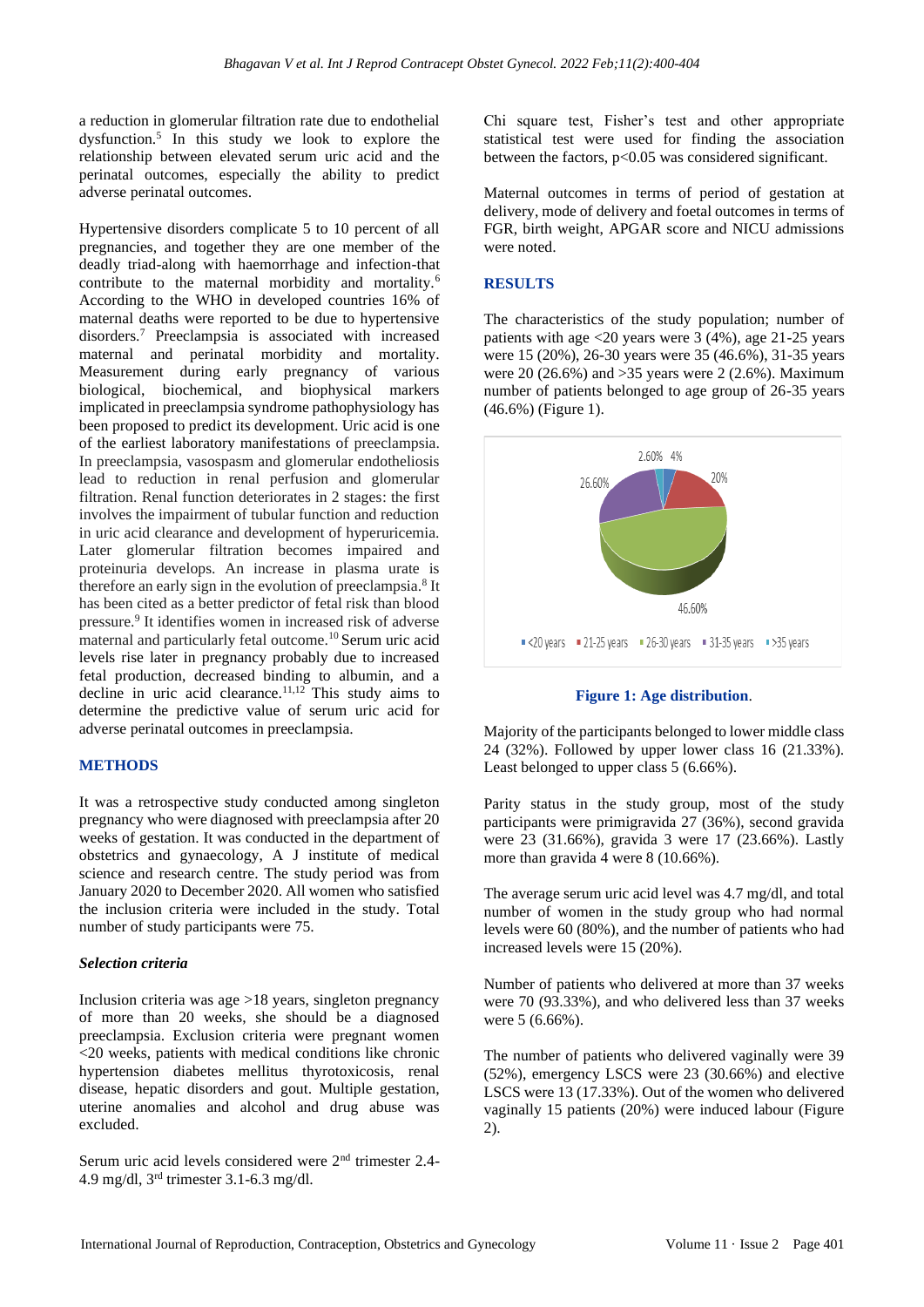a reduction in glomerular filtration rate due to endothelial dysfunction.<sup>5</sup> In this study we look to explore the relationship between elevated serum uric acid and the perinatal outcomes, especially the ability to predict adverse perinatal outcomes.

Hypertensive disorders complicate 5 to 10 percent of all pregnancies, and together they are one member of the deadly triad-along with haemorrhage and infection-that contribute to the maternal morbidity and mortality.<sup>6</sup> According to the WHO in developed countries 16% of maternal deaths were reported to be due to hypertensive disorders.<sup>7</sup> Preeclampsia is associated with increased maternal and perinatal morbidity and mortality. Measurement during early pregnancy of various biological, biochemical, and biophysical markers implicated in preeclampsia syndrome pathophysiology has been proposed to predict its development. Uric acid is one of the earliest laboratory manifestations of preeclampsia. In preeclampsia, vasospasm and glomerular endotheliosis lead to reduction in renal perfusion and glomerular filtration. Renal function deteriorates in 2 stages: the first involves the impairment of tubular function and reduction in uric acid clearance and development of hyperuricemia. Later glomerular filtration becomes impaired and proteinuria develops. An increase in plasma urate is therefore an early sign in the evolution of preeclampsia.<sup>8</sup> It has been cited as a better predictor of fetal risk than blood pressure.<sup>9</sup> It identifies women in increased risk of adverse maternal and particularly fetal outcome.<sup>10</sup> Serum uric acid levels rise later in pregnancy probably due to increased fetal production, decreased binding to albumin, and a decline in uric acid clearance.11,12 This study aims to determine the predictive value of serum uric acid for adverse perinatal outcomes in preeclampsia.

#### **METHODS**

It was a retrospective study conducted among singleton pregnancy who were diagnosed with preeclampsia after 20 weeks of gestation. It was conducted in the department of obstetrics and gynaecology, A J institute of medical science and research centre. The study period was from January 2020 to December 2020. All women who satisfied the inclusion criteria were included in the study. Total number of study participants were 75.

#### *Selection criteria*

Inclusion criteria was age >18 years, singleton pregnancy of more than 20 weeks, she should be a diagnosed preeclampsia. Exclusion criteria were pregnant women <20 weeks, patients with medical conditions like chronic hypertension diabetes mellitus thyrotoxicosis, renal disease, hepatic disorders and gout. Multiple gestation, uterine anomalies and alcohol and drug abuse was excluded.

Serum uric acid levels considered were 2nd trimester 2.4- 4.9 mg/dl, 3rd trimester 3.1-6.3 mg/dl.

Chi square test, Fisher's test and other appropriate statistical test were used for finding the association between the factors, p<0.05 was considered significant.

Maternal outcomes in terms of period of gestation at delivery, mode of delivery and foetal outcomes in terms of FGR, birth weight, APGAR score and NICU admissions were noted.

#### **RESULTS**

The characteristics of the study population; number of patients with age  $\langle 20 \rangle$  years were 3 (4%), age 21-25 years were 15 (20%), 26-30 years were 35 (46.6%), 31-35 years were 20 (26.6%) and  $>35$  years were 2 (2.6%). Maximum number of patients belonged to age group of 26-35 years (46.6%) (Figure 1).



#### **Figure 1: Age distribution**.

Majority of the participants belonged to lower middle class 24 (32%). Followed by upper lower class 16 (21.33%). Least belonged to upper class 5 (6.66%).

Parity status in the study group, most of the study participants were primigravida 27 (36%), second gravida were 23 (31.66%), gravida 3 were 17 (23.66%). Lastly more than gravida 4 were 8 (10.66%).

The average serum uric acid level was 4.7 mg/dl, and total number of women in the study group who had normal levels were 60 (80%), and the number of patients who had increased levels were 15 (20%).

Number of patients who delivered at more than 37 weeks were 70 (93.33%), and who delivered less than 37 weeks were 5 (6.66%).

The number of patients who delivered vaginally were 39 (52%), emergency LSCS were 23 (30.66%) and elective LSCS were 13 (17.33%). Out of the women who delivered vaginally 15 patients (20%) were induced labour (Figure 2).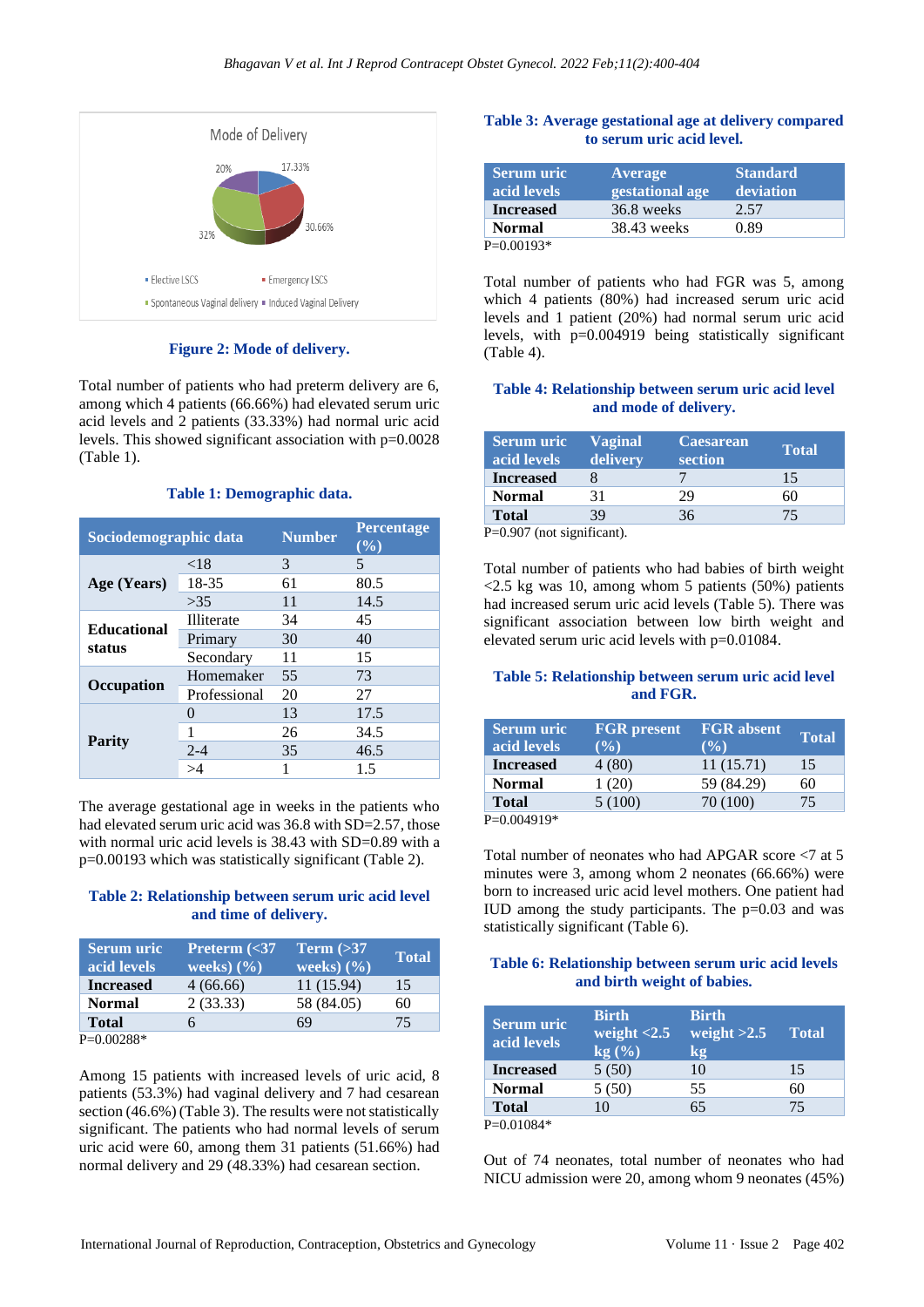

**Figure 2: Mode of delivery.**

Total number of patients who had preterm delivery are 6, among which 4 patients (66.66%) had elevated serum uric acid levels and 2 patients (33.33%) had normal uric acid levels. This showed significant association with p=0.0028 (Table 1).

#### **Table 1: Demographic data.**

| Sociodemographic data |                   | <b>Number</b> | <b>Percentage</b><br>$(\frac{0}{0})$ |
|-----------------------|-------------------|---------------|--------------------------------------|
|                       | ${<}18$           | 3             | 5                                    |
| Age (Years)           | 18-35             | 61            | 80.5                                 |
|                       | >35               | 11            | 14.5                                 |
| <b>Educational</b>    | Illiterate        | 34            | 45                                   |
| status                | Primary           | 30            | 40                                   |
|                       | Secondary         | 11            | 15                                   |
| Occupation            | Homemaker         | 55            | 73                                   |
|                       | Professional      | 20            | 27                                   |
| Parity                | $\mathbf{\Omega}$ | 13            | 17.5                                 |
|                       |                   | 26            | 34.5                                 |
|                       | $2 - 4$           | 35            | 46.5                                 |
|                       |                   |               | 1.5                                  |

The average gestational age in weeks in the patients who had elevated serum uric acid was 36.8 with SD=2.57, those with normal uric acid levels is 38.43 with SD=0.89 with a p=0.00193 which was statistically significant (Table 2).

# **Table 2: Relationship between serum uric acid level and time of delivery.**

| Serum uric<br>acid levels | Preterm $\left  \langle 37 \rangle \right $<br>weeks) $(\% )$ | Term $(>\!\!37$<br>weeks) $(\%)$ | <b>Total</b> |
|---------------------------|---------------------------------------------------------------|----------------------------------|--------------|
| <b>Increased</b>          | 4(66.66)                                                      | 11 (15.94)                       | 15           |
| <b>Normal</b>             | 2(33.33)                                                      | 58 (84.05)                       | 60           |
| <b>Total</b>              |                                                               | 69                               | 75           |
| - - - - - - -             |                                                               |                                  |              |

P=0.00288\*

Among 15 patients with increased levels of uric acid, 8 patients (53.3%) had vaginal delivery and 7 had cesarean section (46.6%) (Table 3). The results were not statistically significant. The patients who had normal levels of serum uric acid were 60, among them 31 patients (51.66%) had normal delivery and 29 (48.33%) had cesarean section.

# **Table 3: Average gestational age at delivery compared to serum uric acid level.**

| <b>Serum</b> uric<br>acid levels | Average<br>gestational age | <b>Standard</b><br>deviation |
|----------------------------------|----------------------------|------------------------------|
| <b>Increased</b>                 | 36.8 weeks                 | 2.57                         |
| <b>Normal</b>                    | 38.43 weeks                | 0.89                         |
| $P=0.00193*$                     |                            |                              |

Total number of patients who had FGR was 5, among which 4 patients (80%) had increased serum uric acid levels and 1 patient (20%) had normal serum uric acid levels, with p=0.004919 being statistically significant (Table 4).

#### **Table 4: Relationship between serum uric acid level and mode of delivery.**

| <b>Serum uric</b><br>acid levels | <b>Vaginal</b><br>delivery | <b>Caesarean</b><br>section | <b>Total</b> |
|----------------------------------|----------------------------|-----------------------------|--------------|
| <b>Increased</b>                 |                            |                             | 15           |
| <b>Normal</b>                    | 31                         | 29                          | 60           |
| <b>Total</b>                     | 39                         | 36                          | 75           |
| 0.000/ 0.                        |                            |                             |              |

P=0.907 (not significant).

Total number of patients who had babies of birth weight  $\langle 2.5 \rangle$  kg was 10, among whom 5 patients (50%) patients had increased serum uric acid levels (Table 5). There was significant association between low birth weight and elevated serum uric acid levels with p=0.01084.

# **Table 5: Relationship between serum uric acid level and FGR.**

| <b>Serum</b> uric<br>acid levels | <b>FGR</b> present<br>$($ %) | <b>FGR</b> absent<br>$($ %) | <b>Total</b> |
|----------------------------------|------------------------------|-----------------------------|--------------|
| <b>Increased</b>                 | 4(80)                        | 11(15.71)                   | 15           |
| <b>Normal</b>                    | 1(20)                        | 59 (84.29)                  | 60           |
| <b>Total</b>                     | 5(100)                       | 70 (100)                    | 75           |
| <b>D_A AA4010*</b>               |                              |                             |              |

P=0.004919

Total number of neonates who had APGAR score <7 at 5 minutes were 3, among whom 2 neonates (66.66%) were born to increased uric acid level mothers. One patient had IUD among the study participants. The  $p=0.03$  and was statistically significant (Table 6).

# **Table 6: Relationship between serum uric acid levels and birth weight of babies.**

| <b>Serum</b> uric<br>acid levels | <b>Birth</b><br>weight $< 2.5$<br>$kg0(\%)$ | <b>Birth</b><br>weight $>2.5$<br>$\mathbf{kg}$ | <b>Total</b> |
|----------------------------------|---------------------------------------------|------------------------------------------------|--------------|
| <b>Increased</b>                 | 5(50)                                       | 10                                             | 15           |
| <b>Normal</b>                    | 5(50)                                       | 55                                             | 60           |
| <b>Total</b>                     | 10                                          | 65                                             | 75           |
| $P=0.01084*$                     |                                             |                                                |              |

Out of 74 neonates, total number of neonates who had NICU admission were 20, among whom 9 neonates (45%)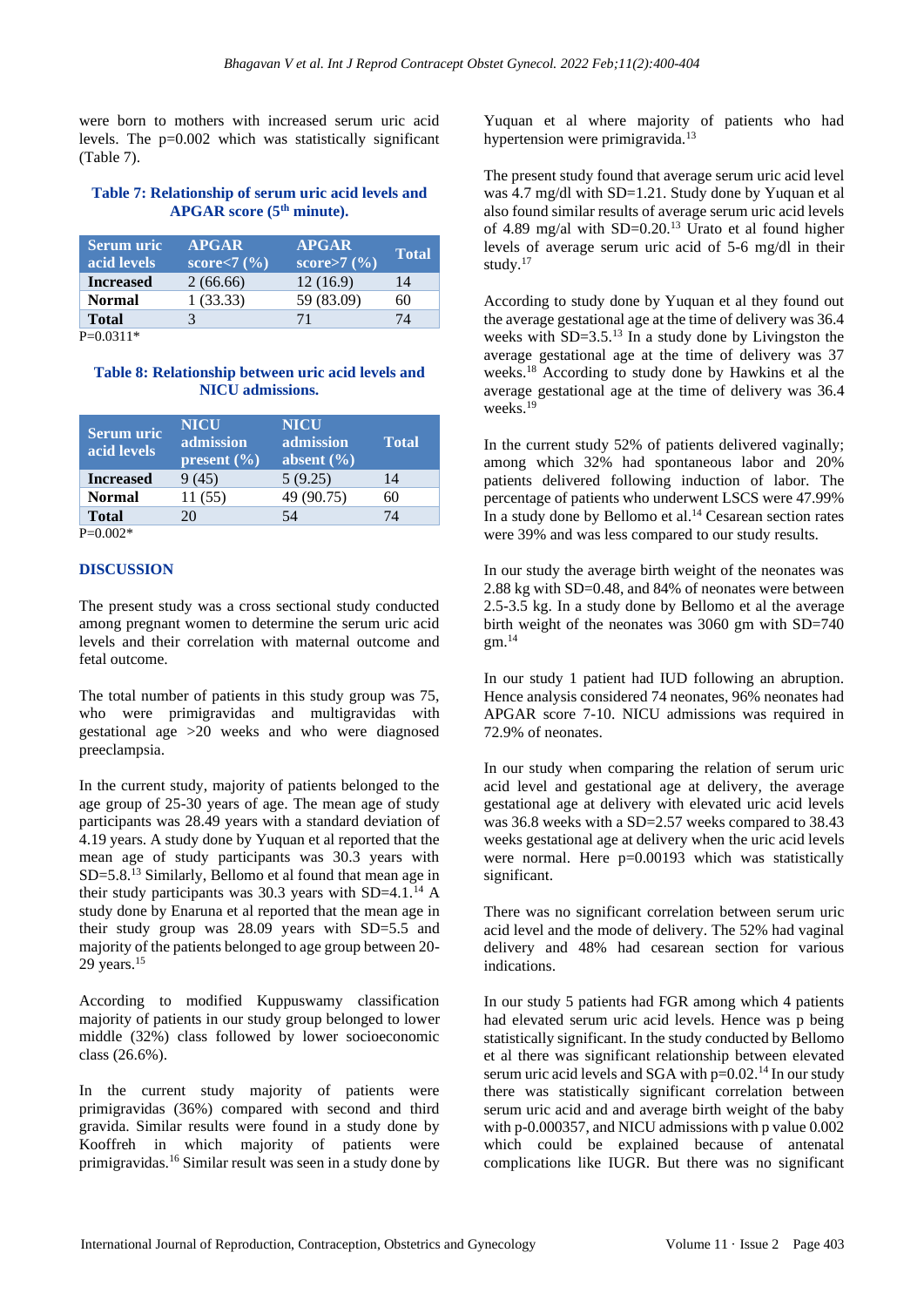were born to mothers with increased serum uric acid levels. The p=0.002 which was statistically significant (Table 7).

# **Table 7: Relationship of serum uric acid levels and APGAR score (5th minute).**

| <b>Serum</b> uric<br>acid levels | <b>APGAR</b><br>score<7 $(\frac{6}{6})$ | <b>APGAR</b><br>score>7 $(\% )$ | <b>Total</b> |
|----------------------------------|-----------------------------------------|---------------------------------|--------------|
| <b>Increased</b>                 | 2(66.66)                                | 12(16.9)                        | 14           |
| <b>Normal</b>                    | 1(33.33)                                | 59 (83.09)                      | 60           |
| <b>Total</b>                     |                                         | 71                              | 74           |
| D—∩ ∩211*                        |                                         |                                 |              |

 $P=0.0311$ 

# **Table 8: Relationship between uric acid levels and NICU admissions.**

| <b>Serum</b> uric<br>acid levels | <b>NICU</b><br>admission<br>present $(\% )$ | <b>NICU</b><br>admission<br>absent $(\% )$ | <b>Total</b> |
|----------------------------------|---------------------------------------------|--------------------------------------------|--------------|
| <b>Increased</b>                 | 9(45)                                       | 5(9.25)                                    | 14           |
| <b>Normal</b>                    | 11 (55)                                     | 49 (90.75)                                 | 60           |
| <b>Total</b>                     | 20                                          | 54                                         | 74           |
| $P=0.002*$                       |                                             |                                            |              |

#### **DISCUSSION**

The present study was a cross sectional study conducted among pregnant women to determine the serum uric acid levels and their correlation with maternal outcome and fetal outcome.

The total number of patients in this study group was 75, who were primigravidas and multigravidas with gestational age >20 weeks and who were diagnosed preeclampsia.

In the current study, majority of patients belonged to the age group of 25-30 years of age. The mean age of study participants was 28.49 years with a standard deviation of 4.19 years. A study done by Yuquan et al reported that the mean age of study participants was 30.3 years with SD=5.8.<sup>13</sup> Similarly, Bellomo et al found that mean age in their study participants was 30.3 years with  $SD=4.1$ .<sup>14</sup> A study done by Enaruna et al reported that the mean age in their study group was  $28.09$  years with  $SD=5.5$  and majority of the patients belonged to age group between 20- 29 years.<sup>15</sup>

According to modified Kuppuswamy classification majority of patients in our study group belonged to lower middle (32%) class followed by lower socioeconomic class (26.6%).

In the current study majority of patients were primigravidas (36%) compared with second and third gravida. Similar results were found in a study done by Kooffreh in which majority of patients were primigravidas.<sup>16</sup> Similar result was seen in a study done by Yuquan et al where majority of patients who had hypertension were primigravida.<sup>13</sup>

The present study found that average serum uric acid level was 4.7 mg/dl with SD=1.21. Study done by Yuquan et al also found similar results of average serum uric acid levels of 4.89 mg/al with  $SD=0.20$ .<sup>13</sup> Urato et al found higher levels of average serum uric acid of 5-6 mg/dl in their study.<sup>17</sup>

According to study done by Yuquan et al they found out the average gestational age at the time of delivery was 36.4 weeks with  $SD=3.5$ .<sup>13</sup> In a study done by Livingston the average gestational age at the time of delivery was 37 weeks.<sup>18</sup> According to study done by Hawkins et al the average gestational age at the time of delivery was 36.4 weeks.<sup>19</sup>

In the current study 52% of patients delivered vaginally; among which 32% had spontaneous labor and 20% patients delivered following induction of labor. The percentage of patients who underwent LSCS were 47.99% In a study done by Bellomo et al.<sup>14</sup> Cesarean section rates were 39% and was less compared to our study results.

In our study the average birth weight of the neonates was 2.88 kg with SD=0.48, and 84% of neonates were between 2.5-3.5 kg. In a study done by Bellomo et al the average birth weight of the neonates was 3060 gm with SD=740  $gm.<sup>14</sup>$ 

In our study 1 patient had IUD following an abruption. Hence analysis considered 74 neonates, 96% neonates had APGAR score 7-10. NICU admissions was required in 72.9% of neonates.

In our study when comparing the relation of serum uric acid level and gestational age at delivery, the average gestational age at delivery with elevated uric acid levels was 36.8 weeks with a SD=2.57 weeks compared to 38.43 weeks gestational age at delivery when the uric acid levels were normal. Here  $p=0.00193$  which was statistically significant.

There was no significant correlation between serum uric acid level and the mode of delivery. The 52% had vaginal delivery and 48% had cesarean section for various indications.

In our study 5 patients had FGR among which 4 patients had elevated serum uric acid levels. Hence was p being statistically significant. In the study conducted by Bellomo et al there was significant relationship between elevated serum uric acid levels and SGA with  $p=0.02$ .<sup>14</sup> In our study there was statistically significant correlation between serum uric acid and and average birth weight of the baby with p-0.000357, and NICU admissions with p value 0.002 which could be explained because of antenatal complications like IUGR. But there was no significant